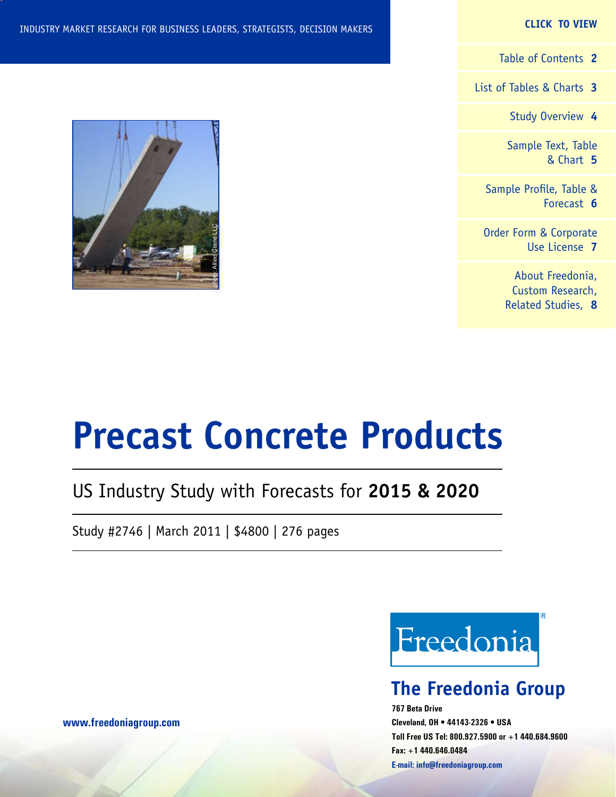[List of Tables & Charts](#page-2-0) **3**

[Study Overview](#page-3-0) **4**

[Sample Text, Table](#page-4-0) [& Chart](#page-4-0) **5**

[Sample Profile, Table &](#page-5-0) [Forecast](#page-5-0) **6**

[Order Form & Corporate](#page-6-0) [Use License](#page-6-0) **7**

> [About Freedonia,](#page-7-0) [Custom Research,](#page-7-0) [Related Studies,](#page-7-0) **8**

#### INDUSTRY MARKET RESEARCH FOR BUSINESS LEADERS, STRATEGISTS, DECISION MAKERS



### US Industry Study with Forecasts for **2015 & 2020**

Study #2746 | March 2011 | \$4800 | 276 pages



### **The Freedonia Group**

**767 Beta Drive Cleveland, OH • 44143-2326 • USA Toll Free US Tel: 800.927.5900 or +1 440.684.9600 Fax: +1 440.646.0484 E-mail: [info@freedoniagroup.com](mailto:info@freedoniagroup.com)**



**[www.freedoniagroup.com](http://www.freedoniagroup.com/Home.aspx?ReferrerId=FM-Bro)**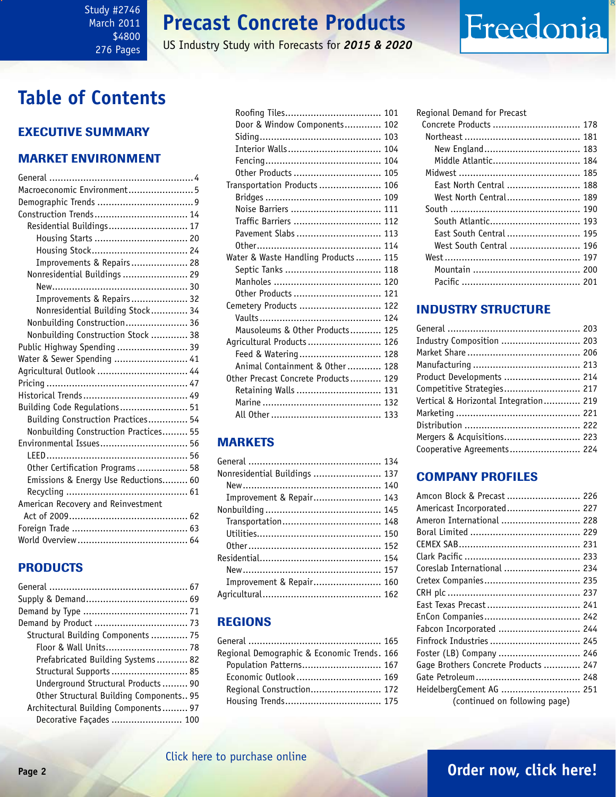#### <span id="page-1-0"></span>Study #2746 March 2011 \$4800 276 Pages

### **Precast Concrete Products**

US Industry Study with Forecasts for *2015 & 2020*

### **Table of Contents**

### Executive Summary

#### Market EnvironmenT

| Macroeconomic Environment5            |  |
|---------------------------------------|--|
|                                       |  |
| Construction Trends 14                |  |
| Residential Buildings 17              |  |
| Housing Starts  20                    |  |
| Housing Stock 24                      |  |
| Improvements & Repairs 28             |  |
| Nonresidential Buildings  29          |  |
|                                       |  |
| Improvements & Repairs 32             |  |
| Nonresidential Building Stock 34      |  |
| Nonbuilding Construction 36           |  |
| Nonbuilding Construction Stock  38    |  |
| Public Highway Spending  39           |  |
| Water & Sewer Spending  41            |  |
| Agricultural Outlook  44              |  |
|                                       |  |
|                                       |  |
| Building Code Regulations 51          |  |
| Building Construction Practices 54    |  |
| Nonbuilding Construction Practices 55 |  |
| Environmental Issues 56               |  |
|                                       |  |
| Other Certification Programs 58       |  |
| Emissions & Energy Use Reductions 60  |  |
|                                       |  |
| American Recovery and Reinvestment    |  |
|                                       |  |
|                                       |  |
|                                       |  |
|                                       |  |

#### PRODUCTS

| Demand by Product  73                   |  |
|-----------------------------------------|--|
| Structural Building Components  75      |  |
|                                         |  |
| Prefabricated Building Systems 82       |  |
| Structural Supports  85                 |  |
| Underground Structural Products 90      |  |
| Other Structural Building Components 95 |  |
| Architectural Building Components 97    |  |
| Decorative Façades  100                 |  |

| Roofing Tiles 101                    |  |
|--------------------------------------|--|
| Door & Window Components 102         |  |
|                                      |  |
| Interior Walls 104                   |  |
|                                      |  |
| Other Products  105                  |  |
| Transportation Products  106         |  |
|                                      |  |
| Noise Barriers  111                  |  |
| Traffic Barriers  112                |  |
| Pavement Slabs  113                  |  |
|                                      |  |
| Water & Waste Handling Products  115 |  |
| Septic Tanks  118                    |  |
|                                      |  |
| Other Products  121                  |  |
| Cemetery Products  122               |  |
|                                      |  |
| Mausoleums & Other Products 125      |  |
| Agricultural Products 126            |  |
| Feed & Watering 128                  |  |
| Animal Containment & Other 128       |  |
| Other Precast Concrete Products 129  |  |
| Retaining Walls  131                 |  |
|                                      |  |
|                                      |  |

#### MARKETS

| Nonresidential Buildings  137 |  |
|-------------------------------|--|
|                               |  |
| Improvement & Repair 143      |  |
|                               |  |
|                               |  |
|                               |  |
|                               |  |
|                               |  |
|                               |  |
| Improvement & Repair 160      |  |
|                               |  |

#### REGIONS

| Regional Demographic & Economic Trends. 166 |  |
|---------------------------------------------|--|
| Population Patterns 167                     |  |
| Economic Outlook  169                       |  |
| Regional Construction 172                   |  |
|                                             |  |
|                                             |  |

| Regional Demand for Precast |  |
|-----------------------------|--|
| Concrete Products  178      |  |
|                             |  |
|                             |  |
| Middle Atlantic 184         |  |
|                             |  |
| East North Central  188     |  |
| West North Central 189      |  |
|                             |  |
| South Atlantic 193          |  |
| East South Central  195     |  |
| West South Central  196     |  |
|                             |  |
|                             |  |
|                             |  |

Freedonia

#### INDUSTRY STRUCTURE

| Industry Composition  203             |  |
|---------------------------------------|--|
|                                       |  |
|                                       |  |
| Product Developments  214             |  |
| Competitive Strategies 217            |  |
| Vertical & Horizontal Integration 219 |  |
|                                       |  |
|                                       |  |
| Mergers & Acquisitions 223            |  |
| Cooperative Agreements 224            |  |
|                                       |  |

#### Company Profiles

| Amcon Block & Precast  226           |
|--------------------------------------|
| Americast Incorporated 227           |
| Ameron International  228            |
|                                      |
|                                      |
|                                      |
| Coreslab International  234          |
|                                      |
|                                      |
| East Texas Precast 241               |
|                                      |
| Fabcon Incorporated  244             |
| Finfrock Industries  245             |
| Foster (LB) Company  246             |
| Gage Brothers Concrete Products  247 |
|                                      |
| HeidelbergCement AG  251             |
| (continued on following page)        |

### **Page 2 [Order now, click here!](#page-6-0)**

#### [Click here to purchase online](http://www.freedoniagroup.com/DocumentDetails.aspx?Referrerid=FM-Bro&StudyID=2746)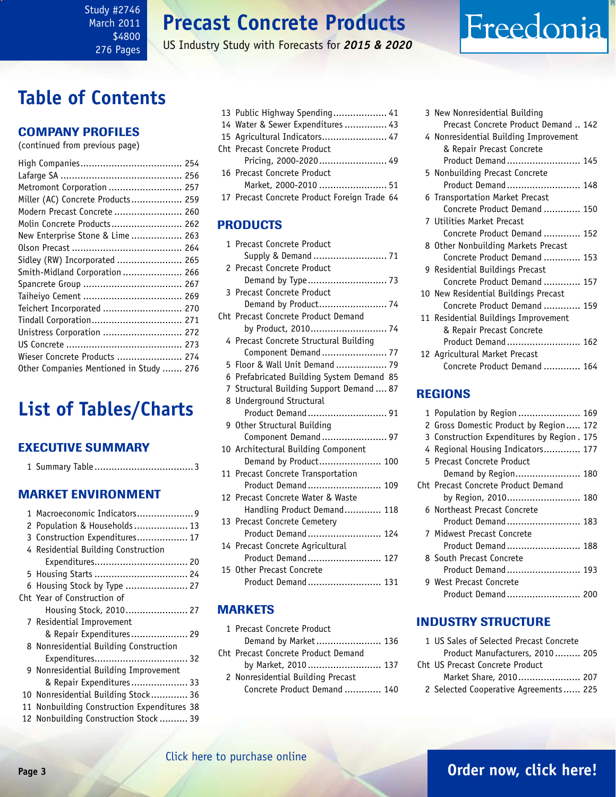<span id="page-2-0"></span>Study #2746 March 2011 \$4800 276 Pages

### **Precast Concrete Products**

US Industry Study with Forecasts for *2015 & 2020*

## **Table of Contents**

#### Company Profiles

(continued from previous page)

| Metromont Corporation  257              |  |
|-----------------------------------------|--|
| Miller (AC) Concrete Products 259       |  |
| Modern Precast Concrete  260            |  |
| Molin Concrete Products 262             |  |
| New Enterprise Stone & Lime  263        |  |
|                                         |  |
| Sidley (RW) Incorporated  265           |  |
| Smith-Midland Corporation  266          |  |
|                                         |  |
|                                         |  |
| Teichert Incorporated  270              |  |
|                                         |  |
| Unistress Corporation  272              |  |
|                                         |  |
| Wieser Concrete Products  274           |  |
| Other Companies Mentioned in Study  276 |  |

## **List of Tables/Charts**

#### Executive Summary

|--|--|--|--|

#### Market EnvironmenT

|    | 1 Macroeconomic Indicators9              |
|----|------------------------------------------|
|    | 2 Population & Households  13            |
|    | 3 Construction Expenditures 17           |
|    | 4 Residential Building Construction      |
|    | Expenditures 20                          |
|    | 5 Housing Starts  24                     |
|    | 6 Housing Stock by Type  27              |
|    | Cht Year of Construction of              |
|    | Housing Stock, 2010 27                   |
|    | 7 Residential Improvement                |
|    | & Repair Expenditures 29                 |
|    | 8 Nonresidential Building Construction   |
|    | Expenditures 32                          |
|    | 9 Nonresidential Building Improvement    |
|    | & Repair Expenditures 33                 |
|    | 10 Nonresidential Building Stock 36      |
| 11 | Nonbuilding Construction Expenditures 38 |
|    | 12 Nonbuilding Construction Stock 39     |

| 13 Public Highway Spending 41    |  |
|----------------------------------|--|
| 14 Water & Sewer Expenditures 43 |  |
| 15 Agricultural Indicators 47    |  |
| Cht Precast Concrete Product     |  |
| Pricing, 2000-2020 49            |  |

- 16 Precast Concrete Product Market, 2000-2010 ........................ 51
- 17 Precast Concrete Product Foreign Trade 64

#### PRODUCTS

| 1 Precast Concrete Product                |
|-------------------------------------------|
| Supply & Demand  71                       |
| 2 Precast Concrete Product                |
| Demand by Type 73                         |
| 3 Precast Concrete Product                |
|                                           |
| Cht Precast Concrete Product Demand       |
| by Product, 2010 74                       |
| 4 Precast Concrete Structural Building    |
| Component Demand  77                      |
| 5 Floor & Wall Unit Demand  79            |
| 6 Prefabricated Building System Demand 85 |
| 7 Structural Building Support Demand  87  |
| 8 Underground Structural                  |
| Product Demand 91                         |
| 9 Other Structural Building               |
| Component Demand  97                      |
| 10 Architectural Building Component       |
| Demand by Product 100                     |
| 11 Precast Concrete Transportation        |
| Product Demand 109                        |
| 12 Precast Concrete Water & Waste         |
| Handling Product Demand 118               |
| 13 Precast Concrete Cemetery              |
| Product Demand 124                        |
| 14 Precast Concrete Agricultural          |
|                                           |
| 15 Other Precast Concrete                 |
| Product Demand 131                        |

#### **MARKETS**

| 1 Precast Concrete Product          |  |
|-------------------------------------|--|
| Demand by Market 136                |  |
| Cht Precast Concrete Product Demand |  |
| by Market, 2010 137                 |  |
| 2 Nonresidential Building Precast   |  |
| Concrete Product Demand  140        |  |

| 3 New Nonresidential Building         |
|---------------------------------------|
| Precast Concrete Product Demand  142  |
| 4 Nonresidential Building Improvement |
| & Repair Precast Concrete             |
| Product Demand 145                    |
| 5 Nonbuilding Precast Concrete        |
| Product Demand 148                    |
| 6 Transportation Market Precast       |
| Concrete Product Demand  150          |
| 7 Utilities Market Precast            |
| Concrete Product Demand  152          |
| 8 Other Nonbuilding Markets Precast   |
| Concrete Product Demand  153          |
| 9 Residential Buildings Precast       |
| Concrete Product Demand  157          |
| 10 New Residential Buildings Precast  |
| Concrete Product Demand  159          |
| 11 Residential Buildings Improvement  |
| & Repair Precast Concrete             |
| Product Demand 162                    |
| 12 Agricultural Market Precast        |
| Concrete Product Demand  164          |

Freedonia

#### REGIONS

| 1 Population by Region  169                |
|--------------------------------------------|
| 2 Gross Domestic Product by Region 172     |
| 3 Construction Expenditures by Region. 175 |
| 4 Regional Housing Indicators 177          |
| 5 Precast Concrete Product                 |
|                                            |
| Cht Precast Concrete Product Demand        |
| by Region, 2010 180                        |
| 6 Northeast Precast Concrete               |
| Product Demand 183                         |
| 7 Midwest Precast Concrete                 |
| Product Demand 188                         |
| 8. South Precast Concrete                  |
| Product Demand 193                         |
| 9 West Precast Concrete                    |
|                                            |

#### INDUSTRY STRUCTURE

| 1 US Sales of Selected Precast Concrete |  |
|-----------------------------------------|--|
| Product Manufacturers, 2010 205         |  |
| Cht US Precast Concrete Product         |  |
| Market Share, 2010 207                  |  |
| 2 Selected Cooperative Agreements  225  |  |

### **Page 3 [Order now, click here!](#page-6-0)**

#### [Click here to purchase online](http://www.freedoniagroup.com/DocumentDetails.aspx?Referrerid=FM-Bro&StudyID=2746)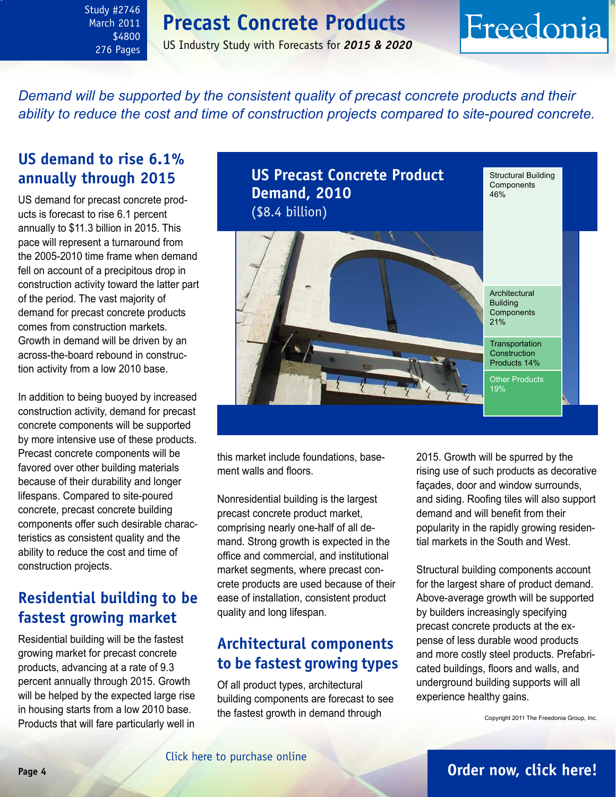### **Precast Concrete Products**

<span id="page-3-0"></span>Study #2746 March 2011 \$4800 276 Pages

#### US Industry Study with Forecasts for *2015 & 2020*

## Freedonia

*Demand will be supported by the consistent quality of precast concrete products and their ability to reduce the cost and time of construction projects compared to site-poured concrete.*

### **US demand to rise 6.1% annually through 2015**

US demand for precast concrete products is forecast to rise 6.1 percent annually to \$11.3 billion in 2015. This pace will represent a turnaround from the 2005-2010 time frame when demand fell on account of a precipitous drop in construction activity toward the latter part of the period. The vast majority of demand for precast concrete products comes from construction markets. Growth in demand will be driven by an across-the-board rebound in construction activity from a low 2010 base.

In addition to being buoyed by increased construction activity, demand for precast concrete components will be supported by more intensive use of these products. Precast concrete components will be favored over other building materials because of their durability and longer lifespans. Compared to site-poured concrete, precast concrete building components offer such desirable characteristics as consistent quality and the ability to reduce the cost and time of construction projects.

### **Residential building to be fastest growing market**

Residential building will be the fastest growing market for precast concrete products, advancing at a rate of 9.3 percent annually through 2015. Growth will be helped by the expected large rise in housing starts from a low 2010 base. Products that will fare particularly well in



this market include foundations, basement walls and floors.

Nonresidential building is the largest precast concrete product market, comprising nearly one-half of all demand. Strong growth is expected in the office and commercial, and institutional market segments, where precast concrete products are used because of their ease of installation, consistent product quality and long lifespan.

### **Architectural components to be fastest growing types**

Of all product types, architectural building components are forecast to see the fastest growth in demand through

2015. Growth will be spurred by the rising use of such products as decorative façades, door and window surrounds, and siding. Roofing tiles will also support demand and will benefit from their popularity in the rapidly growing residential markets in the South and West.

Structural building components account for the largest share of product demand. Above-average growth will be supported by builders increasingly specifying precast concrete products at the expense of less durable wood products and more costly steel products. Prefabricated buildings, floors and walls, and underground building supports will all experience healthy gains.

Copyright 2011 The Freedonia Group, Inc.

### **Page 4 [Order now, click here!](#page-6-0)**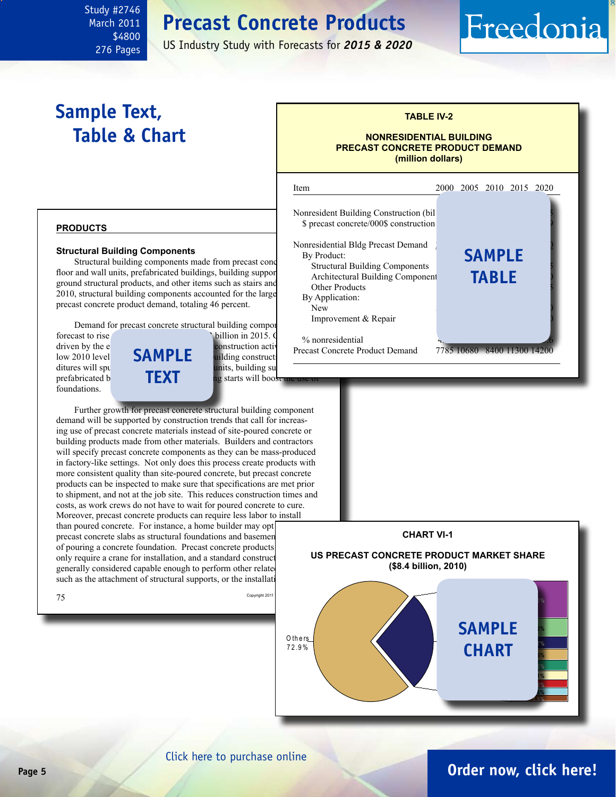### **Precast Concrete Products**

US Industry Study with Forecasts for *2015 & 2020*

### **Sample Text, Table & Chart**

<span id="page-4-0"></span>Study #2746 March 2011 \$4800 276 Pages

#### **TABLE IV-2**

Freedonia

#### **NONRESIDENTIAL BUILDING PRECAST CONCRETE PRODUCT DEMAND (million dollars)**

#### **products**

#### **Structural Building Components**

Structural building components made from precast conc floor and wall units, prefabricated buildings, building supports, underground structural products, and other items such as stairs and 2010, structural building components accounted for the large precast concrete product demand, totaling 46 percent.

Demand for precast concrete structural building components is the structural.

foundations.



starts will boos

Further growth for precast concrete structural building component demand will be supported by construction trends that call for increasing use of precast concrete materials instead of site-poured concrete or building products made from other materials. Builders and contractors will specify precast concrete components as they can be mass-produced in factory-like settings. Not only does this process create products with more consistent quality than site-poured concrete, but precast concrete products can be inspected to make sure that specifications are met prior to shipment, and not at the job site. This reduces construction times and costs, as work crews do not have to wait for poured concrete to cure. Moreover, precast concrete products can require less labor to install than poured concrete. For instance, a home builder may opt precast concrete slabs as structural foundations and basemen of pouring a concrete foundation. Precast concrete products only require a crane for installation, and a standard construct generally considered capable enough to perform other related site. such as the attachment of structural supports, or the installation





#### **Page 5 [Order now, click here!](#page-6-0)** [Click here to purchase online](http://www.freedoniagroup.com/DocumentDetails.aspx?Referrerid=FM-Bro&StudyID=2746)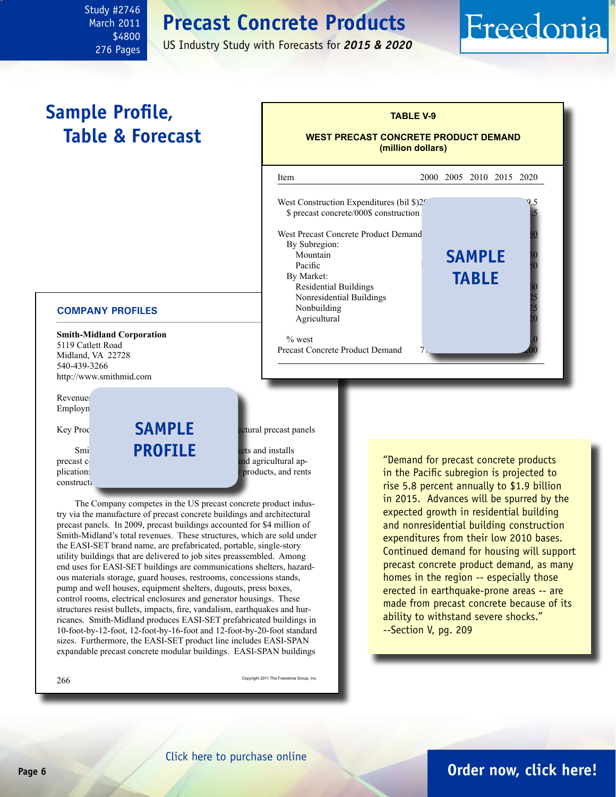### **Precast Concrete Products**

US Industry Study with Forecasts for *2015 & 2020*

### **Sample Profile, Table & Forecast**

<span id="page-5-0"></span>Study #2746 March 2011 \$4800 276 Pages

#### **COMPANY PROFILES**

**Smith-Midland Corporation** 5119 Catlett Road Midland, VA 22728 540-439-3266 http://www.smithmid.com

Revenue: Employn

construction

### **Smi PROFILE exts and installs sample**

 $Key Proc$   **betural precast panels** 

precast concrete products for construction, utility and agricultural applications. The Company also licenses products, and rents

The Company competes in the US precast concrete product industry via the manufacture of precast concrete buildings and architectural precast panels. In 2009, precast buildings accounted for \$4 million of Smith-Midland's total revenues. These structures, which are sold under the EASI-SET brand name, are prefabricated, portable, single-story utility buildings that are delivered to job sites preassembled. Among end uses for EASI-SET buildings are communications shelters, hazardous materials storage, guard houses, restrooms, concessions stands, pump and well houses, equipment shelters, dugouts, press boxes, control rooms, electrical enclosures and generator housings. These structures resist bullets, impacts, fire, vandalism, earthquakes and hurricanes. Smith-Midland produces EASI-SET prefabricated buildings in 10-foot-by-12-foot, 12-foot-by-16-foot and 12-foot-by-20-foot standard sizes. Furthermore, the EASI-SET product line includes EASI-SPAN expandable precast concrete modular buildings. EASI-SPAN buildings

 $266$  Copyright 2011 The Freedonia Group, Inc.

"Demand for precast concrete products in the Pacific subregion is projected to rise 5.8 percent annually to \$1.9 billion in 2015. Advances will be spurred by the expected growth in residential building and nonresidential building construction expenditures from their low 2010 bases. Continued demand for housing will support precast concrete product demand, as many homes in the region -- especially those erected in earthquake-prone areas -- are made from precast concrete because of its ability to withstand severe shocks." --Section V, pg. 209



**TABLE V-9**

Freedonia

**WEST PRECAST CONCRETE PRODUCT DEMAND**

### **Page 6 [Order now, click here!](#page-6-0)**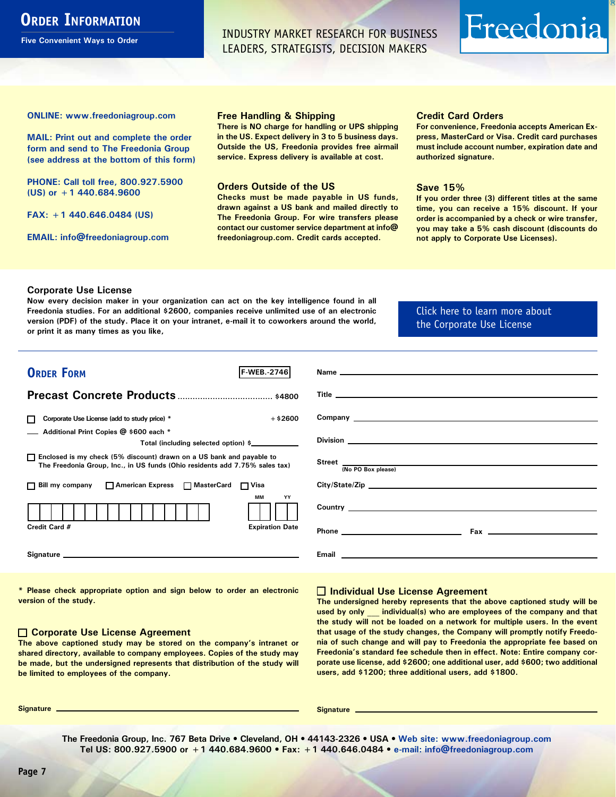### <span id="page-6-0"></span>**ORDER INFORMATION**

**Five Convenient Ways to Order**

INDUSTRY MARKET RESEARCH FOR BUSINESS LEADERS, STRATEGISTS, DECISION MAKERS

# Freedonia

**ONLINE: [www.freedoniagroup.com](http://www.freedoniagroup.com/DocumentDetails.aspx?Referrerid=FM-Bro&StudyID=2746)**

**MAIL: Print out and complete the order form and send to The Freedonia Group (see address at the bottom of this form)**

**PHONE: Call toll free, 800.927.5900 (US) or +1 440.684.9600**

**FAX: +1 440.646.0484 (US)**

**EMAIL: [info@freedoniagroup.com](mailto:info@freedoniagroup.com)**

#### **Free Handling & Shipping**

**There is NO charge for handling or UPS shipping in the US. Expect delivery in 3 to 5 business days. Outside the US, Freedonia provides free airmail service. Express delivery is available at cost.**

#### **Orders Outside of the US**

**Checks must be made payable in US funds, drawn against a US bank and mailed directly to The Freedonia Group. For wire transfers please contact our customer service department at info@ freedoniagroup.com. Credit cards accepted.**

#### **Credit Card Orders**

**For convenience, Freedonia accepts American Express, MasterCard or Visa. Credit card purchases must include account number, expiration date and authorized signature.**

#### **Save 15%**

**If you order three (3) different titles at the same time, you can receive a 15% discount. If your order is accompanied by a check or wire transfer, you may take a 5% cash discount (discounts do not apply to Corporate Use Licenses).**

#### **Corporate Use License**

**Now every decision maker in your organization can act on the key intelligence found in all Freedonia studies. For an additional \$2600, companies receive unlimited use of an electronic version (PDF) of the study. Place it on your intranet, e-mail it to coworkers around the world, or print it as many times as you like,** 

[Click here to learn more about](http://www.freedoniagroup.com/pdf/FreedoniaCULBro.pdf)  [the Corporate Use License](http://www.freedoniagroup.com/pdf/FreedoniaCULBro.pdf)

| <b>ORDER FORM</b><br><b>F-WEB. 2746</b>                                                                                                                                                                                        |                                                                                                               |
|--------------------------------------------------------------------------------------------------------------------------------------------------------------------------------------------------------------------------------|---------------------------------------------------------------------------------------------------------------|
|                                                                                                                                                                                                                                |                                                                                                               |
|                                                                                                                                                                                                                                |                                                                                                               |
|                                                                                                                                                                                                                                |                                                                                                               |
| Corporate Use License (add to study price) *<br>$+$ \$2600<br>П                                                                                                                                                                |                                                                                                               |
| Additional Print Copies @ \$600 each *<br>Total (including selected option) \$                                                                                                                                                 |                                                                                                               |
| □ Enclosed is my check (5% discount) drawn on a US bank and payable to<br>The Freedonia Group, Inc., in US funds (Ohio residents add 7.75% sales tax)                                                                          | (No PO Box please)                                                                                            |
| □ Bill my company □ American Express □ MasterCard □ Visa                                                                                                                                                                       | City/State/Zip                                                                                                |
| MМ<br>YY                                                                                                                                                                                                                       |                                                                                                               |
| Credit Card #<br><b>Expiration Date</b>                                                                                                                                                                                        |                                                                                                               |
| Signature experience and the state of the state of the state of the state of the state of the state of the state of the state of the state of the state of the state of the state of the state of the state of the state of th | Email and the contract of the contract of the contract of the contract of the contract of the contract of the |

**\* Please check appropriate option and sign below to order an electronic version of the study.**

#### **Corporate Use License Agreement**

**The above captioned study may be stored on the company's intranet or shared directory, available to company employees. Copies of the study may be made, but the undersigned represents that distribution of the study will be limited to employees of the company.**

#### **Individual Use License Agreement**

**The undersigned hereby represents that the above captioned study will be used by only \_\_\_ individual(s) who are employees of the company and that the study will not be loaded on a network for multiple users. In the event that usage of the study changes, the Company will promptly notify Freedonia of such change and will pay to Freedonia the appropriate fee based on Freedonia's standard fee schedule then in effect. Note: Entire company corporate use license, add \$2600; one additional user, add \$600; two additional users, add \$1200; three additional users, add \$1800.**

**Signature Signature**

**The Freedonia Group, Inc. 767 Beta Drive • Cleveland, OH • 44143-2326 • USA • [Web site: www.freedoniagroup.com](http://www.freedoniagroup.com/Home.aspx?ReferrerId=FM-Bro) Tel US: 800.927.5900 or +1 440.684.9600 • Fax: +1 440.646.0484 • [e-mail: info@freedoniagroup.com](mailto:info@freedoniagroup.com)**